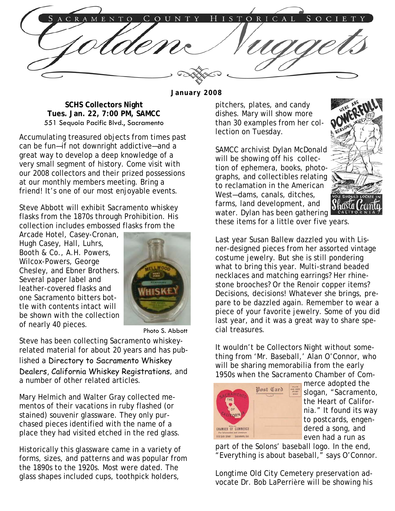HISTORICAL COUNTY C R A S O C I T O E N

**January 2008** 

**SCHS Collectors Night Tues. Jan. 22, 7:00 PM, SAMCC**  551 Sequoia Pacific Blvd., Sacramento

Accumulating treasured objects from times past can be fun—if not downright addictive—and a great way to develop a deep knowledge of a very small segment of history. Come visit with our 2008 collectors and their prized possessions at our monthly members meeting. Bring a friend! It's one of our most enjoyable events.

Steve Abbott will exhibit Sacramento whiskey flasks from the 1870s through Prohibition. His collection includes embossed flasks from the

Arcade Hotel, Casey-Cronan, Hugh Casey, Hall, Luhrs, Booth & Co., A.H. Powers, Wilcox-Powers, George Chesley, and Ebner Brothers. Several paper label and leather-covered flasks and one Sacramento bitters bottle with contents intact will be shown with the collection of nearly 40 pieces.



Photo S. Abbott

Steve has been collecting Sacramento whiskeyrelated material for about 20 years and has published a Directory to Sacramento Whiskey Dealers, California Whiskey Registrations, and a number of other related articles.

Mary Helmich and Walter Gray collected mementos of their vacations in ruby flashed (or stained) souvenir glassware. They only purchased pieces identified with the name of a place they had visited etched in the red glass.

Historically this glassware came in a variety of forms, sizes, and patterns and was popular from the 1890s to the 1920s. Most were dated. The glass shapes included cups, toothpick holders,

pitchers, plates, and candy dishes. Mary will show more than 30 examples from her collection on Tuesday.

SAMCC archivist Dylan McDonald will be showing off his collection of ephemera, books, photographs, and collectibles relating to reclamation in the American West—dams, canals, ditches, farms, land development, and water. Dylan has been gathering these items for a little over five years.



Last year Susan Ballew dazzled you with Lisner-designed pieces from her assorted vintage costume jewelry. But she is still pondering what to bring this year. Multi-strand beaded necklaces and matching earrings? Her rhinestone brooches? Or the Renoir copper items? Decisions, decisions! Whatever she brings, prepare to be dazzled again. Remember to wear a piece of your favorite jewelry. Some of you did last year, and it was a great way to share special treasures.

It wouldn't be Collectors Night without something from 'Mr. Baseball,' Alan O'Connor, who will be sharing memorabilia from the early 1950s when the Sacramento Chamber of Com-



merce adopted the slogan, "Sacramento, the Heart of California." It found its way to postcards, engendered a song, and even had a run as

part of the Solons' baseball logo. In the end, "Everything is about baseball," says O'Connor.

Longtime Old City Cemetery preservation advocate Dr. Bob LaPerrière will be showing his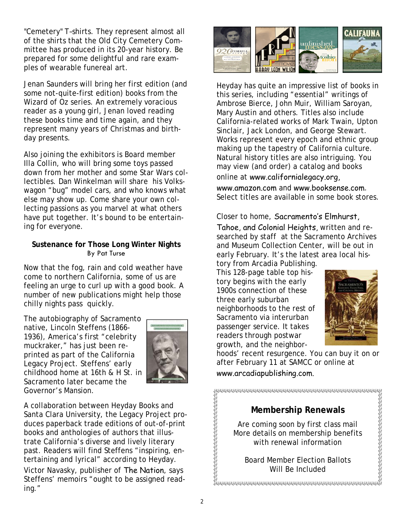"Cemetery" T–shirts. They represent almost all of the shirts that the Old City Cemetery Committee has produced in its 20-year history. Be prepared for some delightful and rare examples of wearable funereal art.

Jenan Saunders will bring her first edition (and some not-quite-first edition) books from the Wizard of Oz series. An extremely voracious reader as a young girl, Jenan loved reading these books time and time again, and they represent many years of Christmas and birthday presents.

Also joining the exhibitors is Board member Illa Collin, who will bring some toys passed down from her mother and some Star Wars collectibles. Dan Winkelman will share his Volkswagon "bug" model cars, and who knows what else may show up. Come share your own collecting passions as you marvel at what others have put together. It's bound to be entertaining for everyone.

### **Sustenance for Those Long Winter Nights**  By Pat Turse

Now that the fog, rain and cold weather have come to northern California, some of us are feeling an urge to curl up with a good book. A number of new publications might help those chilly nights pass quickly.

The autobiography of Sacramento native, Lincoln Steffens (1866- 1936), America's first "celebrity muckraker," has just been reprinted as part of the California Legacy Project. Steffens' early childhood home at 16th & H St. in Sacramento later became the Governor's Mansion.



A collaboration between Heyday Books and Santa Clara University, the Legacy Project produces paperback trade editions of out-of-print books and anthologies of authors that illustrate California's diverse and lively literary past. Readers will find Steffens "inspiring, entertaining and lyrical" according to Heyday. Victor Navasky, publisher of The Nation, says Steffens' memoirs "ought to be assigned reading."



Heyday has quite an impressive list of books in this series, including "essential" writings of Ambrose Bierce, John Muir, William Saroyan, Mary Austin and others. Titles also include California-related works of Mark Twain, Upton Sinclair, Jack London, and George Stewart. Works represent every epoch and ethnic group making up the tapestry of California culture. Natural history titles are also intriguing. You may view (and order) a catalog and books online at www.californialegacy.org,

www.amazon.com and www.booksense.com. Select titles are available in some book stores.

Closer to home, Sacramento's Elmhurst,

Tahoe, and Colonial Heights, written and researched by staff at the Sacramento Archives and Museum Collection Center, will be out in early February. It's the latest area local history from Arcadia Publishing.

This 128-page table top history begins with the early 1900s connection of these three early suburban neighborhoods to the rest of Sacramento via interurban passenger service. It takes readers through postwar growth, and the neighbor-



hoods' recent resurgence. You can buy it on or after February 11 at SAMCC or online at www.arcadiapublishing.com.

**CONTRACTOR CONTRACTOR CONTRACTOR CONTRACTOR CONTRACTOR CONTRACTOR** 

## **Membership Renewals**

Are coming soon by first class mail More details on membership benefits with renewal information

Board Member Election Ballots Will Be Included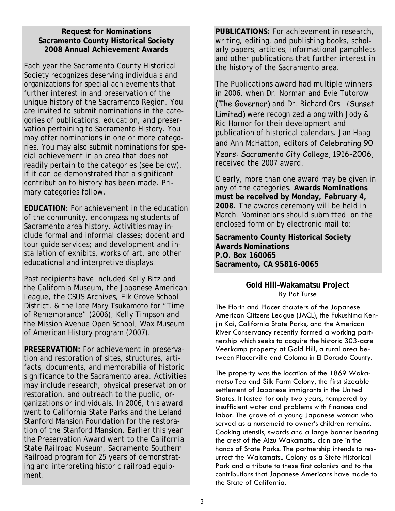#### **Request for Nominations Sacramento County Historical Society 2008 Annual Achievement Awards**

Each year the Sacramento County Historical Society recognizes deserving individuals and organizations for special achievements that further interest in and preservation of the unique history of the Sacramento Region. You are invited to submit nominations in the categories of publications, education, and preservation pertaining to Sacramento History. You may offer nominations in one or more categories. You may also submit nominations for special achievement in an area that does not readily pertain to the categories (see below), if it can be demonstrated that a significant contribution to history has been made. Primary categories follow.

**EDUCATION**: For achievement in the education of the community, encompassing students of Sacramento area history. Activities may include formal and informal classes; docent and tour guide services; and development and installation of exhibits, works of art, and other educational and interpretive displays.

Past recipients have included Kelly Bitz and the California Museum, the Japanese American League, the CSUS Archives, Elk Grove School District, & the late Mary Tsukamoto for "Time of Remembrance" (2006); Kelly Timpson and the Mission Avenue Open School, Wax Museum of American History program (2007).

**PRESERVATION:** For achievement in preservation and restoration of sites, structures, artifacts, documents, and memorabilia of historic significance to the Sacramento area. Activities may include research, physical preservation or restoration, and outreach to the public, organizations or individuals. In 2006, this award went to California State Parks and the Leland Stanford Mansion Foundation for the restoration of the Stanford Mansion. Earlier this year the Preservation Award went to the California State Railroad Museum, Sacramento Southern Railroad program for 25 years of demonstrating and interpreting historic railroad equipment.

**PUBLICATIONS:** For achievement in research, writing, editing, and publishing books, scholarly papers, articles, informational pamphlets and other publications that further interest in the history of the Sacramento area.

The Publications award had multiple winners in 2006, when Dr. Norman and Evie Tutorow (The Governor) and Dr. Richard Orsi (Sunset Limited) were recognized along with Jody & Ric Hornor for their development and publication of historical calendars. Jan Haag and Ann McHatton, editors of Celebrating 90 Years: Sacramento City College, 1916-2006, received the 2007 award.

Clearly, more than one award may be given in any of the categories. **Awards Nominations must be received by Monday, February 4, 2008.** The awards ceremony will be held in March. Nominations should submitted on the enclosed form or by electronic mail to:

**Sacramento County Historical Society Awards Nominations P.O. Box 160065 Sacramento, CA 95816-0065** 

#### **Gold Hill–Wakamatsu Project**  By Pat Turse

The Florin and Placer chapters of the Japanese American Citizens League (JACL), the Fukushima Kenjin Kai, California State Parks, and the American River Conservancy recently formed a working partnership which seeks to acquire the historic 303-acre Veerkamp property at Gold Hill, a rural area between Placerville and Coloma in El Dorado County.

The property was the location of the 1869 Wakamatsu Tea and Silk Farm Colony, the first sizeable settlement of Japanese immigrants in the United States. It lasted for only two years, hampered by insufficient water and problems with finances and labor. The grave of a young Japanese woman who served as a nursemaid to owner's children remains. Cooking utensils, swords and a large banner bearing the crest of the Aizu Wakamatsu clan are in the hands of State Parks. The partnership intends to resurrect the Wakamatsu Colony as a State Historical Park and a tribute to these first colonists and to the contributions that Japanese Americans have made to the State of California.